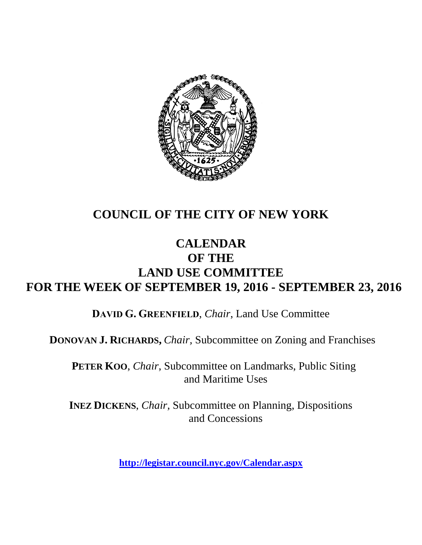

# **COUNCIL OF THE CITY OF NEW YORK**

# **CALENDAR OF THE LAND USE COMMITTEE FOR THE WEEK OF SEPTEMBER 19, 2016 - SEPTEMBER 23, 2016**

**DAVID G. GREENFIELD**, *Chair*, Land Use Committee

**DONOVAN J. RICHARDS,** *Chair,* Subcommittee on Zoning and Franchises

**PETER KOO**, *Chair*, Subcommittee on Landmarks, Public Siting and Maritime Uses

**INEZ DICKENS**, *Chair,* Subcommittee on Planning, Dispositions and Concessions

**<http://legistar.council.nyc.gov/Calendar.aspx>**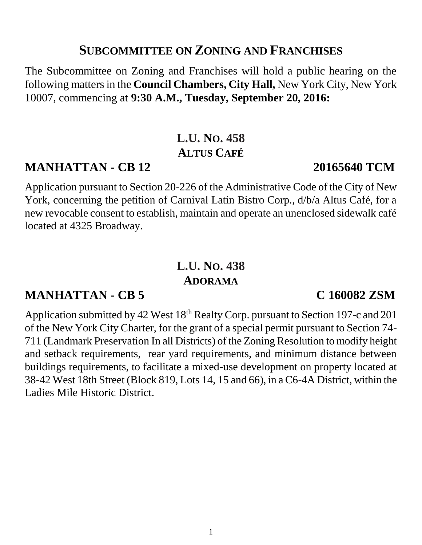### **SUBCOMMITTEE ON ZONING AND FRANCHISES**

The Subcommittee on Zoning and Franchises will hold a public hearing on the following mattersin the **Council Chambers, City Hall,** New York City, New York 10007, commencing at **9:30 A.M., Tuesday, September 20, 2016:**

# **L.U. NO. 458 ALTUS CAFÉ**

## **MANHATTAN - CB 12 20165640 TCM**

Application pursuant to Section 20-226 of the Administrative Code of the City of New York, concerning the petition of Carnival Latin Bistro Corp., d/b/a Altus Café, for a new revocable consent to establish, maintain and operate an unenclosed sidewalk café located at 4325 Broadway.

# **L.U. NO. 438 ADORAMA**

# **MANHATTAN - CB 5 C 160082 ZSM**

Application submitted by 42 West 18<sup>th</sup> Realty Corp. pursuant to Section 197-c and 201 of the New York City Charter, for the grant of a special permit pursuant to Section 74- 711 (Landmark Preservation In all Districts) of the Zoning Resolution to modify height and setback requirements, rear yard requirements, and minimum distance between buildings requirements, to facilitate a mixed-use development on property located at 38-42 West 18th Street (Block 819, Lots 14, 15 and 66), in a C6-4A District, within the Ladies Mile Historic District.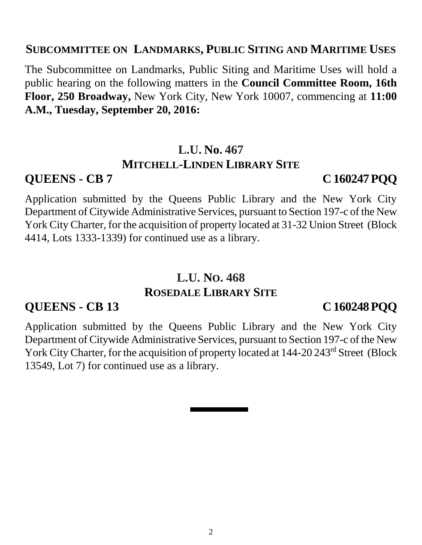### **SUBCOMMITTEE ON LANDMARKS, PUBLIC SITING AND MARITIME USES**

The Subcommittee on Landmarks, Public Siting and Maritime Uses will hold a public hearing on the following matters in the **Council Committee Room, 16th Floor, 250 Broadway,** New York City, New York 10007, commencing at **11:00 A.M., Tuesday, September 20, 2016:**

### **L.U. No. 467 MITCHELL-LINDEN LIBRARY SITE**

### **QUEENS - CB 7 C 160247 PQQ**

Application submitted by the Queens Public Library and the New York City Department of Citywide Administrative Services, pursuant to Section 197-c of the New York City Charter, for the acquisition of property located at 31-32 Union Street (Block 4414, Lots 1333-1339) for continued use as a library.

# **L.U. NO. 468 ROSEDALE LIBRARY SITE**

### **QUEENS - CB 13 C 160248 PQQ**

Application submitted by the Queens Public Library and the New York City Department of Citywide Administrative Services, pursuant to Section 197-c of the New York City Charter, for the acquisition of property located at 144-20 243<sup>rd</sup> Street (Block 13549, Lot 7) for continued use as a library.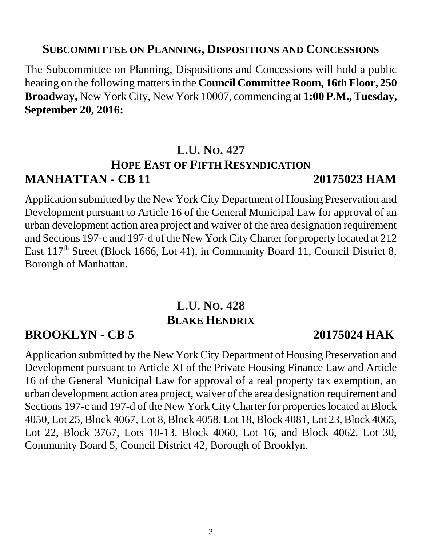### **SUBCOMMITTEE ON PLANNING, DISPOSITIONS AND CONCESSIONS**

The Subcommittee on Planning, Dispositions and Concessions will hold a public hearing on the following mattersin the **Council Committee Room, 16th Floor, 250 Broadway,** New York City, New York 10007, commencing at **1:00 P.M., Tuesday, September 20, 2016:**

## **L.U. NO. 427 HOPE EAST OF FIFTH RESYNDICATION MANHATTAN - CB 11 20175023 HAM**

Application submitted by the New York City Department of Housing Preservation and Development pursuant to Article 16 of the General Municipal Law for approval of an urban development action area project and waiver of the area designation requirement and Sections 197-c and 197-d of the New York City Charter for property located at 212 East 117<sup>th</sup> Street (Block 1666, Lot 41), in Community Board 11, Council District 8, Borough of Manhattan.

# **L.U. NO. 428 BLAKE HENDRIX**

## **BROOKLYN - CB 5 20175024 HAK**

Application submitted by the New York City Department of Housing Preservation and Development pursuant to Article XI of the Private Housing Finance Law and Article 16 of the General Municipal Law for approval of a real property tax exemption, an urban development action area project, waiver of the area designation requirement and Sections 197-c and 197-d of the New York City Charter for properties located at Block 4050, Lot 25, Block 4067, Lot 8, Block 4058, Lot 18, Block 4081, Lot 23, Block 4065, Lot 22, Block 3767, Lots 10-13, Block 4060, Lot 16, and Block 4062, Lot 30, Community Board 5, Council District 42, Borough of Brooklyn.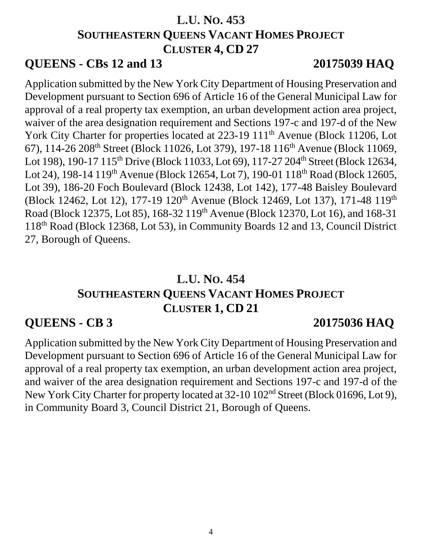# **L.U. NO. 453 SOUTHEASTERN QUEENS VACANT HOMES PROJECT CLUSTER 4, CD 27**

## **QUEENS - CBs 12 and 13 20175039 HAQ**

Application submitted by the New York City Department of Housing Preservation and Development pursuant to Section 696 of Article 16 of the General Municipal Law for approval of a real property tax exemption, an urban development action area project, waiver of the area designation requirement and Sections 197-c and 197-d of the New York City Charter for properties located at 223-19 111<sup>th</sup> Avenue (Block 11206, Lot 67), 114-26 208<sup>th</sup> Street (Block 11026, Lot 379), 197-18 116<sup>th</sup> Avenue (Block 11069, Lot 198), 190-17 115<sup>th</sup> Drive (Block 11033, Lot 69), 117-27 204<sup>th</sup> Street (Block 12634, Lot 24), 198-14 119<sup>th</sup> Avenue (Block 12654, Lot 7), 190-01 118<sup>th</sup> Road (Block 12605, Lot 39), 186-20 Foch Boulevard (Block 12438, Lot 142), 177-48 Baisley Boulevard (Block 12462, Lot 12), 177-19 120<sup>th</sup> Avenue (Block 12469, Lot 137), 171-48 119<sup>th</sup> Road (Block 12375, Lot 85), 168-32 119th Avenue (Block 12370, Lot 16), and 168-31 118th Road (Block 12368, Lot 53), in Community Boards 12 and 13, Council District 27, Borough of Queens.

# **L.U. NO. 454 SOUTHEASTERN QUEENS VACANT HOMES PROJECT CLUSTER 1, CD 21**

# **QUEENS - CB 3 20175036 HAQ**

Application submitted by the New York City Department of Housing Preservation and Development pursuant to Section 696 of Article 16 of the General Municipal Law for approval of a real property tax exemption, an urban development action area project, and waiver of the area designation requirement and Sections 197-c and 197-d of the New York City Charter for property located at 32-10 102<sup>nd</sup> Street (Block 01696, Lot 9), in Community Board 3, Council District 21, Borough of Queens.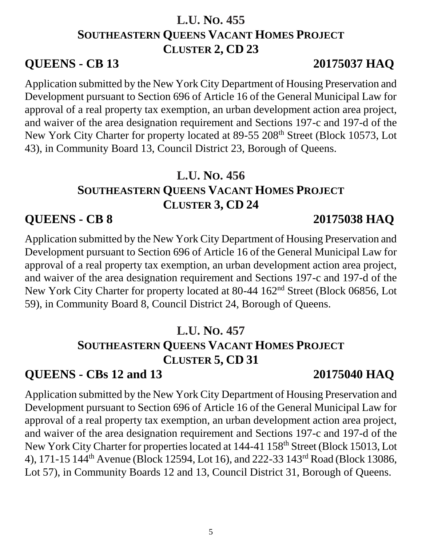# **L.U. NO. 455 SOUTHEASTERN QUEENS VACANT HOMES PROJECT CLUSTER 2, CD 23**

## **QUEENS - CB 13 20175037 HAQ**

Application submitted by the New York City Department of Housing Preservation and Development pursuant to Section 696 of Article 16 of the General Municipal Law for approval of a real property tax exemption, an urban development action area project, and waiver of the area designation requirement and Sections 197-c and 197-d of the New York City Charter for property located at 89-55 208<sup>th</sup> Street (Block 10573, Lot 43), in Community Board 13, Council District 23, Borough of Queens.

# **L.U. NO. 456 SOUTHEASTERN QUEENS VACANT HOMES PROJECT CLUSTER 3, CD 24**

## **QUEENS - CB 8 20175038 HAQ**

Application submitted by the New York City Department of Housing Preservation and Development pursuant to Section 696 of Article 16 of the General Municipal Law for approval of a real property tax exemption, an urban development action area project, and waiver of the area designation requirement and Sections 197-c and 197-d of the New York City Charter for property located at 80-44 162<sup>nd</sup> Street (Block 06856, Lot 59), in Community Board 8, Council District 24, Borough of Queens.

# **L.U. NO. 457 SOUTHEASTERN QUEENS VACANT HOMES PROJECT CLUSTER 5, CD 31**

# **QUEENS - CBs 12 and 13 20175040 HAQ**

Application submitted by the New York City Department of Housing Preservation and Development pursuant to Section 696 of Article 16 of the General Municipal Law for approval of a real property tax exemption, an urban development action area project, and waiver of the area designation requirement and Sections 197-c and 197-d of the New York City Charter for properties located at 144-41 158<sup>th</sup> Street (Block 15013, Lot 4), 171-15 144th Avenue (Block 12594, Lot 16), and 222-33 143rd Road (Block 13086, Lot 57), in Community Boards 12 and 13, Council District 31, Borough of Queens.